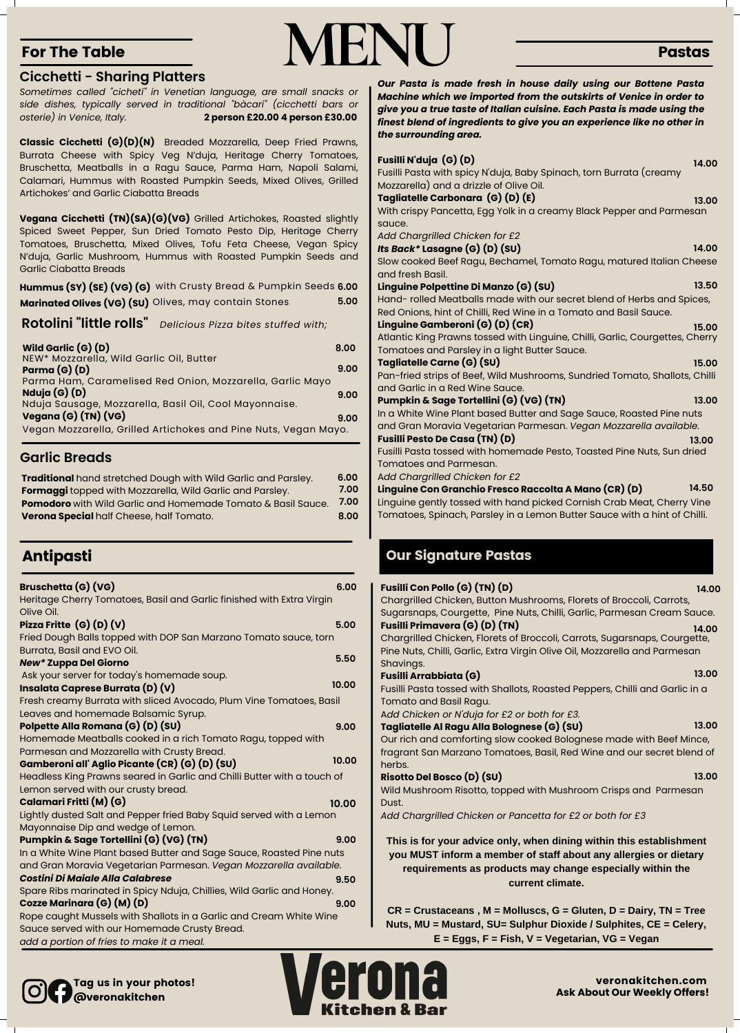# **MENU**

Fusilli Pasta tossed with Shallots, Roasted Peppers, Chilli and Garlic in a Tomato and Basil Ragu.

A*dd Chicken or N'duja for £2 or both for £3.*

#### **Tagliatelle Al Ragu Alla Bolognese (G) (SU)**

Our rich and comforting slow cooked Bolognese made with Beef Mince, fragrant San Marzano Tomatoes, Basil, Red Wine and our secret blend of

herbs. **Risotto Del Bosco (D) (SU)** Wild Mushroom Risotto, topped with Mushroom Crisps and Parmesan Dust. *Add Chargrilled Chicken or Pancetta for £2 or both for £3*

#### **Gamberoni all' Aglio Picante (CR) (G) (D) (SU)**

Headless King Prawns seared in Garlic and Chilli Butter with a touch of Lemon served with our crusty bread.

#### **Calamari Fritti (M) (G)**

Lightly dusted Salt and Pepper fried Baby Squid served with a Lemon Mayonnaise Dip and wedge of Lemon.

#### **Pumpkin & Sage Tortellini (G) (VG) (TN)**

#### Spare Ribs marinated in Spicy Nduja, Chillies, Wild Garlic and Honey.

**Cozze Marinara (G) (M) (D)**

Rope caught Mussels with Shallots in a Garlic and Cream White Wine Sauce served with our Homemade Crusty Bread.

*add a portion of fries to make it a meal.*

| Fusilli N'duja (G) (D)                                                        | 14.00 |
|-------------------------------------------------------------------------------|-------|
| Fusilli Pasta with spicy N'duja, Baby Spinach, torn Burrata (creamy           |       |
| Mozzarella) and a drizzle of Olive Oil.                                       |       |
| Tagliatelle Carbonara (G) (D) (E)                                             | 13.00 |
| With crispy Pancetta, Egg Yolk in a creamy Black Pepper and Parmesan          |       |
| sauce.                                                                        |       |
| Add Chargrilled Chicken for £2                                                |       |
| Its Back* Lasagne (G) (D) (SU)                                                | 14.00 |
| Slow cooked Beef Ragu, Bechamel, Tomato Ragu, matured Italian Cheese          |       |
| and fresh Basil.                                                              |       |
| Linguine Polpettine Di Manzo (G) (SU)                                         | 13.50 |
| Hand- rolled Meatballs made with our secret blend of Herbs and Spices,        |       |
| Red Onions, hint of Chilli, Red Wine in a Tomato and Basil Sauce.             |       |
| Linguine Gamberoni (G) (D) (CR)                                               | 15.00 |
| Atlantic King Prawns tossed with Linguine, Chilli, Garlic, Courgettes, Cherry |       |
| Tomatoes and Parsley in a light Butter Sauce.                                 |       |
| Tagliatelle Carne (G) (SU)                                                    | 15.00 |
| Pan-fried strips of Beef, Wild Mushrooms, Sundried Tomato, Shallots, Chilli   |       |
| and Garlic in a Red Wine Sauce.                                               |       |
| Pumpkin & Sage Tortellini (G) (VG) (TN)                                       | 13.00 |
| In a White Wine Plant based Butter and Sage Sauce, Roasted Pine nuts          |       |
| and Gran Moravia Vegetarian Parmesan. Vegan Mozzarella available.             |       |
| <b>Fusilli Pesto De Casa (TN) (D)</b>                                         | 13.00 |
| Fusilli Pasta tossed with homemade Pesto, Toasted Pine Nuts, Sun dried        |       |
| <b>Tomatoes and Parmesan.</b>                                                 |       |
| Add Chargrilled Chicken for £2                                                |       |
| Linguine Con Granchio Fresco Raccolta A Mano (CR) (D)                         | 14.50 |
| Linguine gently tossed with hand picked Cornish Crab Meat, Cherry Vine        |       |
| Tomatoes, Spinach, Parsley in a Lemon Butter Sauce with a hint of Chilli.     |       |
|                                                                               |       |
|                                                                               |       |
| <b>Our Signature Pastas</b>                                                   |       |
|                                                                               |       |
| <b>Fusilli Con Pollo (G) (TN) (D)</b>                                         | 14.00 |
| Chargrilled Chicken, Button Mushrooms, Florets of Broccoli, Carrots,          |       |
| Sugarsnaps, Courgette, Pine Nuts, Chilli, Garlic, Parmesan Cream Sauce.       |       |
| <b>Fusilli Primavera (G) (D) (TN)</b>                                         | 14.00 |
| Chargrilled Chicken, Florets of Broccoli, Carrots, Sugarsnaps, Courgette,     |       |
| Pine Nuts, Chilli, Garlic, Extra Virgin Olive Oil, Mozzarella and Parmesan    |       |
| Shavings.                                                                     |       |
| <b>Fusilli Arrabbiata (G)</b>                                                 | 13.00 |

| <b>Bruschetta (G) (VG)</b>                                            | 6.00  |
|-----------------------------------------------------------------------|-------|
| Heritage Cherry Tomatoes, Basil and Garlic finished with Extra Virgin |       |
| Olive Oil.                                                            |       |
| Pizza Fritte $(G)$ $(D)$ $(V)$                                        | 5.00  |
| Fried Dough Balls topped with DOP San Marzano Tomato sauce, torn      |       |
| Burrata, Basil and EVO Oil.                                           |       |
| <b>New* Zuppa Del Giorno</b>                                          | 5.50  |
| Ask your server for today's homemade soup.                            |       |
| Insalata Caprese Burrata (D) (V)                                      | 10.00 |
| Fresh creamy Burrata with sliced Avocado, Plum Vine Tomatoes, Basil   |       |
| Leaves and homemade Balsamic Syrup.                                   |       |
| Polpette Alla Romana (G) (D) (SU)                                     | 9.00  |
| Homemade Meatballs cooked in a rich Tomato Ragu, topped with          |       |
| Parmesan and Mozzarella with Crusty Bread.                            |       |

In a White Wine Plant based Butter and Sage Sauce, Roasted Pine nuts and Gran Moravia Vegetarian Parmesan. *Vegan Mozzarella available. Costini Di Maiale Alla Calabrese* **9.50**

#### For The Table

#### Pastas

**Rotolini "little rolls"** *Delicious Pizza bites stuffed with;*

#### **Cicchetti - Sharing Platters**

*Sometimes called "cicheti" in Venetian language, are small snacks or side dishes, typically served in traditional "bàcari" (cicchetti bars or osterie) in Venice, Italy.* **2 person £20.00 4 person £30.00**

**Classic Cicchetti (G)(D)(N)** Breaded Mozzarella, Deep Fried Prawns, Burrata Cheese with Spicy Veg N'duja, Heritage Cherry Tomatoes, Bruschetta, Meatballs in a Ragu Sauce, Parma Ham, Napoli Salami, Calamari, Hummus with Roasted Pumpkin Seeds, Mixed Olives, Grilled Artichokes' and Garlic Ciabatta Breads

| Traditional hand stretched Dough with Wild Garlic and Parsley. | 6.00 |
|----------------------------------------------------------------|------|
| Formaggi topped with Mozzarella, Wild Garlic and Parsley.      | 7.00 |
| Pomodoro with Wild Garlic and Homemade Tomato & Basil Sauce.   | 7.00 |
| Verona Special half Cheese, half Tomato.                       | 8.00 |

| Wild Garlic $(G)$ $(D)$                                         | 8.00 |
|-----------------------------------------------------------------|------|
| NEW* Mozzarella, Wild Garlic Oil, Butter                        |      |
| Parma $(G)(D)$                                                  | 9.00 |
| Parma Ham, Caramelised Red Onion, Mozzarella, Garlic Mayo       |      |
| Nduja (G) (D)                                                   | 9.00 |
| Nduja Sausage, Mozzarella, Basil Oil, Cool Mayonnaise.          |      |
| Vegana (G) (TN) (VG)                                            | 9.00 |
| Vegan Mozzarella, Grilled Artichokes and Pine Nuts, Vegan Mayo. |      |

**Vegana Cicchetti (TN)(SA)(G)(VG)** Grilled Artichokes, Roasted slightly Spiced Sweet Pepper, Sun Dried Tomato Pesto Dip, Heritage Cherry Tomatoes, Bruschetta, Mixed Olives, Tofu Feta Cheese, Vegan Spicy N'duja, Garlic Mushroom, Hummus with Roasted Pumpkin Seeds and Garlic Ciabatta Breads

> **veronakitchen.com Ask About Our Weekly Offers!**

**Hummus (SY) (SE) (VG) (G)** with Crusty Bread & Pumpkin Seeds **6.00 Marinated Olives (VG) (SU)** Olives, may contain Stones **5.00**

#### **Garlic Breads**

#### Antipasti

**10.00**

**9.00**

**9.00**

**10.00**

Tag us in your photos! @veronakitchen



*Our Pasta is made fresh in house daily using our Bottene Pasta Machine which we imported from the outskirts of Venice in order to give you a true taste of Italian cuisine. Each Pasta is made using the finest blend of ingredients to give you an experience like no other in the surrounding area.*

**This is for your advice only, when dining within this establishment you MUST inform a member of staff about any allergies or dietary requirements as products may change especially within the current climate.**

**CR = Crustaceans , M = Molluscs, G = Gluten, D = Dairy, TN = Tree Nuts, MU = Mustard, SU= Sulphur Dioxide / Sulphites, CE = Celery, E = Eggs, F = Fish, V = Vegetarian, VG = Vegan**

**13.00**

**13.00**